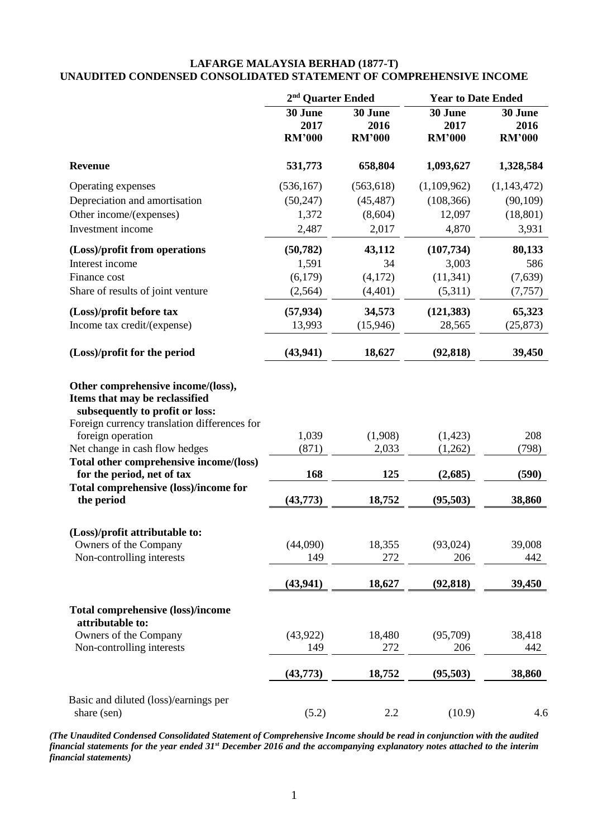## **LAFARGE MALAYSIA BERHAD (1877-T) UNAUDITED CONDENSED CONSOLIDATED STATEMENT OF COMPREHENSIVE INCOME**

|                                                                                                                                                                                                                                                           | 2 <sup>nd</sup> Quarter Ended    |                                  | <b>Year to Date Ended</b>        |                                  |  |
|-----------------------------------------------------------------------------------------------------------------------------------------------------------------------------------------------------------------------------------------------------------|----------------------------------|----------------------------------|----------------------------------|----------------------------------|--|
|                                                                                                                                                                                                                                                           | 30 June<br>2017<br><b>RM'000</b> | 30 June<br>2016<br><b>RM'000</b> | 30 June<br>2017<br><b>RM'000</b> | 30 June<br>2016<br><b>RM'000</b> |  |
| <b>Revenue</b>                                                                                                                                                                                                                                            | 531,773                          | 658,804                          | 1,093,627                        | 1,328,584                        |  |
| Operating expenses                                                                                                                                                                                                                                        | (536, 167)                       | (563, 618)                       | (1,109,962)                      | (1,143,472)                      |  |
| Depreciation and amortisation                                                                                                                                                                                                                             | (50, 247)                        | (45, 487)                        | (108, 366)                       | (90, 109)                        |  |
| Other income/(expenses)                                                                                                                                                                                                                                   | 1,372                            | (8,604)                          | 12,097                           | (18, 801)                        |  |
| Investment income                                                                                                                                                                                                                                         | 2,487                            | 2,017                            | 4,870                            | 3,931                            |  |
| (Loss)/profit from operations                                                                                                                                                                                                                             | (50, 782)                        | 43,112                           | (107, 734)                       | 80,133                           |  |
| Interest income                                                                                                                                                                                                                                           | 1,591                            | 34                               | 3,003                            | 586                              |  |
| Finance cost                                                                                                                                                                                                                                              | (6,179)                          | (4,172)                          | (11, 341)                        | (7,639)                          |  |
| Share of results of joint venture                                                                                                                                                                                                                         | (2, 564)                         | (4,401)                          | (5,311)                          | (7, 757)                         |  |
| (Loss)/profit before tax                                                                                                                                                                                                                                  | (57, 934)                        | 34,573                           | (121, 383)                       | 65,323                           |  |
| Income tax credit/(expense)                                                                                                                                                                                                                               | 13,993                           | (15, 946)                        | 28,565                           | (25, 873)                        |  |
| (Loss)/profit for the period                                                                                                                                                                                                                              | (43, 941)                        | 18,627                           | (92, 818)                        | 39,450                           |  |
| Other comprehensive income/(loss),<br>Items that may be reclassified<br>subsequently to profit or loss:<br>Foreign currency translation differences for<br>foreign operation<br>Net change in cash flow hedges<br>Total other comprehensive income/(loss) | 1,039<br>(871)                   | (1,908)<br>2,033                 | (1, 423)<br>(1,262)              | 208<br>(798)                     |  |
| for the period, net of tax                                                                                                                                                                                                                                | 168                              | 125                              | (2,685)                          | (590)                            |  |
| Total comprehensive (loss)/income for<br>the period                                                                                                                                                                                                       | (43,773)                         | 18,752                           | (95, 503)                        | 38,860                           |  |
| (Loss)/profit attributable to:                                                                                                                                                                                                                            |                                  |                                  |                                  |                                  |  |
| Owners of the Company                                                                                                                                                                                                                                     | (44,090)                         | 18,355                           | (93, 024)                        | 39,008                           |  |
| Non-controlling interests                                                                                                                                                                                                                                 | 149                              | 272                              | 206                              | 442                              |  |
|                                                                                                                                                                                                                                                           | (43, 941)                        | 18,627                           | (92, 818)                        | 39,450                           |  |
| <b>Total comprehensive (loss)/income</b><br>attributable to:                                                                                                                                                                                              |                                  |                                  |                                  |                                  |  |
| Owners of the Company                                                                                                                                                                                                                                     | (43, 922)                        | 18,480                           | (95,709)                         | 38,418                           |  |
| Non-controlling interests                                                                                                                                                                                                                                 | 149                              | 272                              | 206                              | 442                              |  |
|                                                                                                                                                                                                                                                           | (43,773)                         | 18,752                           | (95,503)                         | 38,860                           |  |
| Basic and diluted (loss)/earnings per<br>share (sen)                                                                                                                                                                                                      | (5.2)                            | 2.2                              | (10.9)                           | 4.6                              |  |

*(The Unaudited Condensed Consolidated Statement of Comprehensive Income should be read in conjunction with the audited financial statements for the year ended 31st December 2016 and the accompanying explanatory notes attached to the interim financial statements)*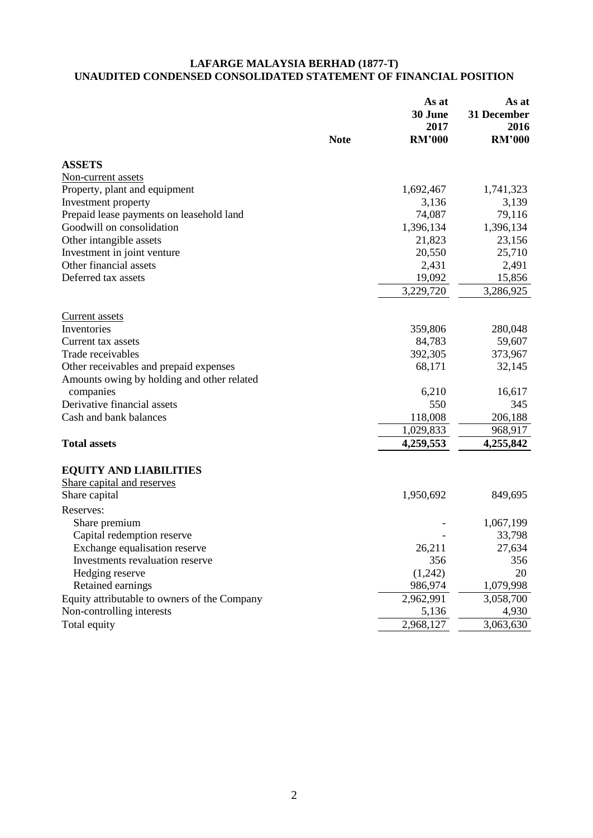#### **LAFARGE MALAYSIA BERHAD (1877-T) UNAUDITED CONDENSED CONSOLIDATED STATEMENT OF FINANCIAL POSITION**

|                                              | <b>Note</b> | As at<br>30 June<br>2017<br><b>RM'000</b> | As at<br>31 December<br>2016<br><b>RM'000</b> |
|----------------------------------------------|-------------|-------------------------------------------|-----------------------------------------------|
| <b>ASSETS</b>                                |             |                                           |                                               |
| Non-current assets                           |             |                                           |                                               |
| Property, plant and equipment                |             | 1,692,467                                 | 1,741,323                                     |
| Investment property                          |             | 3,136                                     | 3,139                                         |
| Prepaid lease payments on leasehold land     |             | 74,087                                    | 79,116                                        |
| Goodwill on consolidation                    |             | 1,396,134                                 | 1,396,134                                     |
| Other intangible assets                      |             | 21,823                                    | 23,156                                        |
| Investment in joint venture                  |             | 20,550                                    | 25,710                                        |
| Other financial assets                       |             | 2,431                                     | 2,491                                         |
| Deferred tax assets                          |             | 19,092                                    | 15,856                                        |
|                                              |             | $\overline{3,229,720}$                    | 3,286,925                                     |
| Current assets                               |             |                                           |                                               |
| Inventories                                  |             | 359,806                                   | 280,048                                       |
| Current tax assets                           |             | 84,783                                    | 59,607                                        |
| Trade receivables                            |             | 392,305                                   | 373,967                                       |
| Other receivables and prepaid expenses       |             | 68,171                                    | 32,145                                        |
| Amounts owing by holding and other related   |             |                                           |                                               |
| companies                                    |             | 6,210                                     | 16,617                                        |
| Derivative financial assets                  |             | 550                                       | 345                                           |
| Cash and bank balances                       |             | 118,008                                   | 206,188                                       |
|                                              |             | 1,029,833                                 | 968,917                                       |
| <b>Total assets</b>                          |             | 4,259,553                                 | 4,255,842                                     |
| <b>EQUITY AND LIABILITIES</b>                |             |                                           |                                               |
| Share capital and reserves                   |             |                                           |                                               |
| Share capital                                |             | 1,950,692                                 | 849,695                                       |
| Reserves:                                    |             |                                           |                                               |
| Share premium                                |             |                                           | 1,067,199                                     |
| Capital redemption reserve                   |             |                                           | 33,798                                        |
| Exchange equalisation reserve                |             | 26,211                                    | 27,634                                        |
| Investments revaluation reserve              |             | 356                                       | 356                                           |
| Hedging reserve                              |             | (1,242)                                   | 20                                            |
| Retained earnings                            |             | 986,974                                   | 1,079,998                                     |
| Equity attributable to owners of the Company |             | 2,962,991                                 | 3,058,700                                     |
| Non-controlling interests                    |             | 5,136                                     | 4,930                                         |
| Total equity                                 |             | 2,968,127                                 | 3,063,630                                     |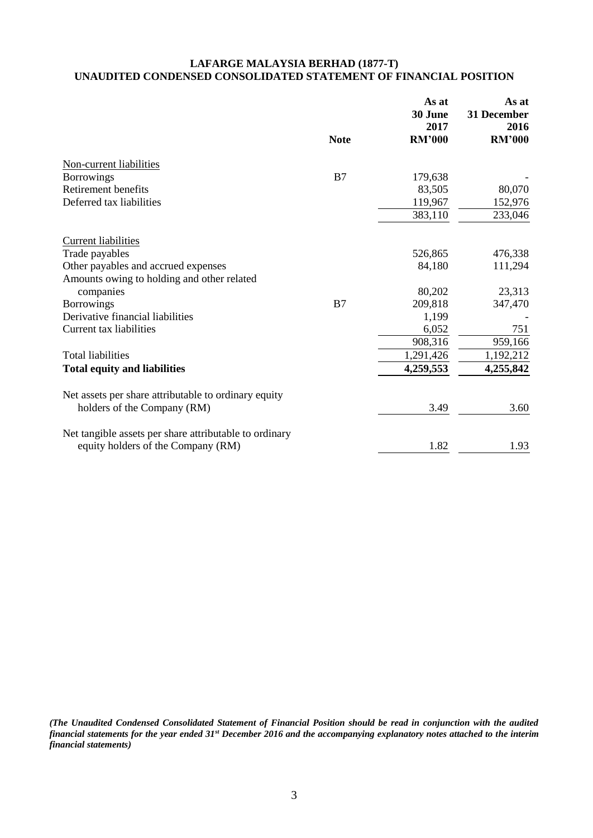## **LAFARGE MALAYSIA BERHAD (1877-T) UNAUDITED CONDENSED CONSOLIDATED STATEMENT OF FINANCIAL POSITION**

|                                                        |             | As at<br>30 June<br>2017 | As at<br>31 December<br>2016 |
|--------------------------------------------------------|-------------|--------------------------|------------------------------|
|                                                        | <b>Note</b> | <b>RM'000</b>            | <b>RM'000</b>                |
| Non-current liabilities                                |             |                          |                              |
| <b>Borrowings</b>                                      | B7          | 179,638                  |                              |
| Retirement benefits                                    |             | 83,505                   | 80,070                       |
| Deferred tax liabilities                               |             | 119,967                  | 152,976                      |
|                                                        |             | 383,110                  | 233,046                      |
| <b>Current liabilities</b>                             |             |                          |                              |
| Trade payables                                         |             | 526,865                  | 476,338                      |
| Other payables and accrued expenses                    |             | 84,180                   | 111,294                      |
| Amounts owing to holding and other related             |             |                          |                              |
| companies                                              |             | 80,202                   | 23,313                       |
| <b>Borrowings</b>                                      | B7          | 209,818                  | 347,470                      |
| Derivative financial liabilities                       |             | 1,199                    |                              |
| Current tax liabilities                                |             | 6,052                    | 751                          |
|                                                        |             | 908,316                  | 959,166                      |
| <b>Total liabilities</b>                               |             | 1,291,426                | 1,192,212                    |
| <b>Total equity and liabilities</b>                    |             | 4,259,553                | 4,255,842                    |
| Net assets per share attributable to ordinary equity   |             |                          |                              |
| holders of the Company (RM)                            |             | 3.49                     | 3.60                         |
| Net tangible assets per share attributable to ordinary |             |                          |                              |
| equity holders of the Company (RM)                     |             | 1.82                     | 1.93                         |

*(The Unaudited Condensed Consolidated Statement of Financial Position should be read in conjunction with the audited financial statements for the year ended 31st December 2016 and the accompanying explanatory notes attached to the interim financial statements)*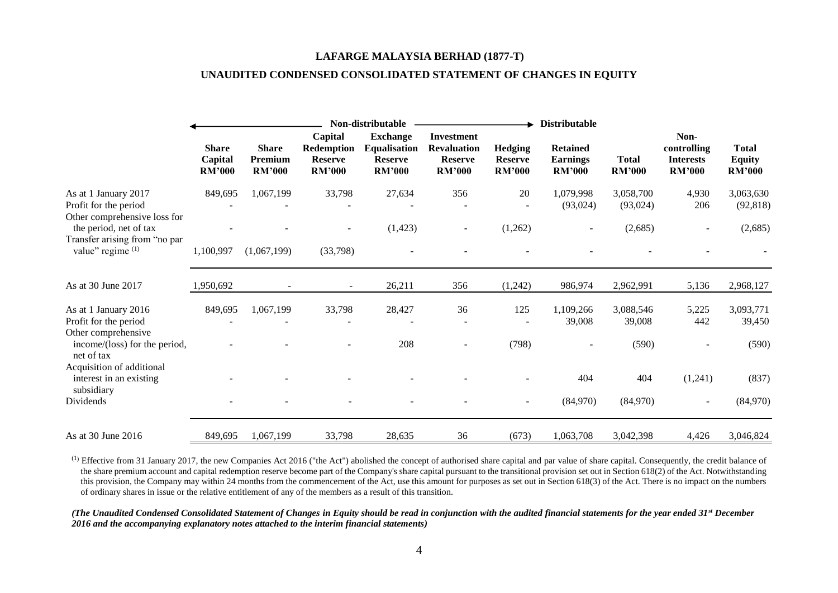#### **LAFARGE MALAYSIA BERHAD (1877-T)**

## **UNAUDITED CONDENSED CONSOLIDATED STATEMENT OF CHANGES IN EQUITY**

|                                                                               |                                          | Non-distributable                        |                                                          |                                                                           |                                                                            | <b>Distributable</b>                              |                                                     |                               |                                                          |                                                |
|-------------------------------------------------------------------------------|------------------------------------------|------------------------------------------|----------------------------------------------------------|---------------------------------------------------------------------------|----------------------------------------------------------------------------|---------------------------------------------------|-----------------------------------------------------|-------------------------------|----------------------------------------------------------|------------------------------------------------|
|                                                                               | <b>Share</b><br>Capital<br><b>RM'000</b> | <b>Share</b><br>Premium<br><b>RM'000</b> | Capital<br>Redemption<br><b>Reserve</b><br><b>RM'000</b> | <b>Exchange</b><br><b>Equalisation</b><br><b>Reserve</b><br><b>RM'000</b> | <b>Investment</b><br><b>Revaluation</b><br><b>Reserve</b><br><b>RM'000</b> | <b>Hedging</b><br><b>Reserve</b><br><b>RM'000</b> | <b>Retained</b><br><b>Earnings</b><br><b>RM'000</b> | <b>Total</b><br><b>RM'000</b> | Non-<br>controlling<br><b>Interests</b><br><b>RM'000</b> | <b>Total</b><br><b>Equity</b><br><b>RM'000</b> |
| As at 1 January 2017<br>Profit for the period<br>Other comprehensive loss for | 849,695                                  | 1,067,199                                | 33,798                                                   | 27,634                                                                    | 356                                                                        | 20                                                | 1,079,998<br>(93,024)                               | 3,058,700<br>(93,024)         | 4,930<br>206                                             | 3,063,630<br>(92, 818)                         |
| the period, net of tax<br>Transfer arising from "no par<br>value" regime (1)  | 1,100,997                                | (1,067,199)                              | (33,798)                                                 | (1, 423)                                                                  | $\overline{\phantom{a}}$                                                   | (1,262)                                           |                                                     | (2,685)                       |                                                          | (2,685)                                        |
| As at 30 June 2017                                                            | 1,950,692                                |                                          | $\sim$                                                   | 26,211                                                                    | 356                                                                        | (1,242)                                           | 986,974                                             | 2,962,991                     | 5,136                                                    | 2,968,127                                      |
| As at 1 January 2016<br>Profit for the period<br>Other comprehensive          | 849,695                                  | 1,067,199                                | 33,798                                                   | 28,427                                                                    | 36                                                                         | 125                                               | 1,109,266<br>39,008                                 | 3,088,546<br>39,008           | 5,225<br>442                                             | 3,093,771<br>39,450                            |
| income/(loss) for the period,<br>net of tax                                   |                                          |                                          |                                                          | 208                                                                       | $\overline{\phantom{0}}$                                                   | (798)                                             |                                                     | (590)                         |                                                          | (590)                                          |
| Acquisition of additional<br>interest in an existing<br>subsidiary            |                                          |                                          |                                                          |                                                                           |                                                                            |                                                   | 404                                                 | 404                           | (1,241)                                                  | (837)                                          |
| Dividends                                                                     |                                          |                                          |                                                          |                                                                           |                                                                            |                                                   | (84,970)                                            | (84,970)                      |                                                          | (84,970)                                       |
| As at 30 June 2016                                                            | 849,695                                  | 1,067,199                                | 33,798                                                   | 28,635                                                                    | 36                                                                         | (673)                                             | 1,063,708                                           | 3,042,398                     | 4,426                                                    | 3,046,824                                      |

 $^{(1)}$  Effective from 31 January 2017, the new Companies Act 2016 ("the Act") abolished the concept of authorised share capital and par value of share capital. Consequently, the credit balance of the share premium account and capital redemption reserve become part of the Company's share capital pursuant to the transitional provision set out in Section 618(2) of the Act. Notwithstanding this provision, the Company may within 24 months from the commencement of the Act, use this amount for purposes as set out in Section 618(3) of the Act. There is no impact on the numbers of ordinary shares in issue or the relative entitlement of any of the members as a result of this transition.

*(The Unaudited Condensed Consolidated Statement of Changes in Equity should be read in conjunction with the audited financial statements for the year ended 31st December 2016 and the accompanying explanatory notes attached to the interim financial statements)*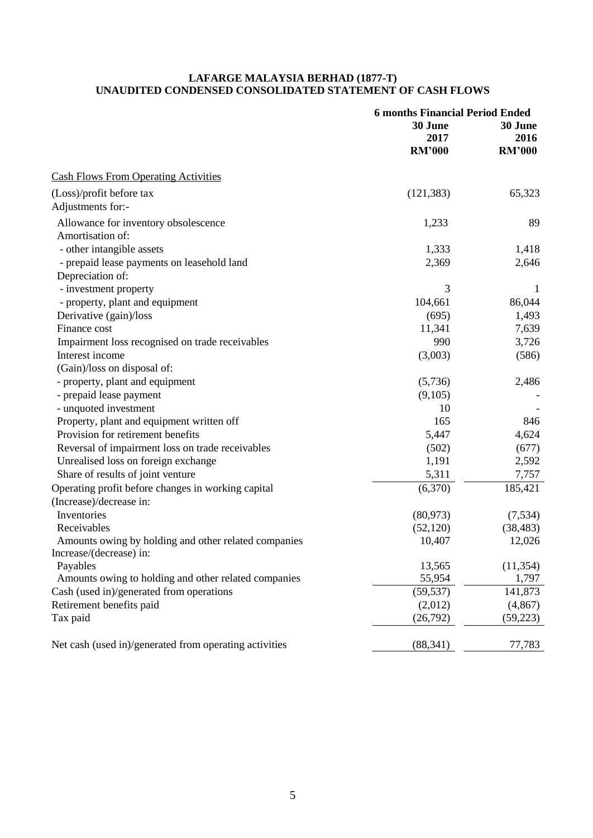#### **LAFARGE MALAYSIA BERHAD (1877-T) UNAUDITED CONDENSED CONSOLIDATED STATEMENT OF CASH FLOWS**

|                                                        | <b>6 months Financial Period Ended</b> |               |
|--------------------------------------------------------|----------------------------------------|---------------|
|                                                        | 30 June                                | 30 June       |
|                                                        | 2017                                   | 2016          |
|                                                        | <b>RM'000</b>                          | <b>RM'000</b> |
| <b>Cash Flows From Operating Activities</b>            |                                        |               |
| (Loss)/profit before tax                               | (121, 383)                             | 65,323        |
| Adjustments for:-                                      |                                        |               |
| Allowance for inventory obsolescence                   | 1,233                                  | 89            |
| Amortisation of:                                       |                                        |               |
| - other intangible assets                              | 1,333                                  | 1,418         |
| - prepaid lease payments on leasehold land             | 2,369                                  | 2,646         |
| Depreciation of:                                       |                                        |               |
| - investment property                                  | 3                                      | 1             |
| - property, plant and equipment                        | 104,661                                | 86,044        |
| Derivative (gain)/loss                                 | (695)                                  | 1,493         |
| Finance cost                                           | 11,341                                 | 7,639         |
| Impairment loss recognised on trade receivables        | 990                                    | 3,726         |
| Interest income                                        | (3,003)                                | (586)         |
| (Gain)/loss on disposal of:                            |                                        |               |
| - property, plant and equipment                        | (5,736)                                | 2,486         |
| - prepaid lease payment                                | (9,105)                                |               |
| - unquoted investment                                  | 10                                     |               |
| Property, plant and equipment written off              | 165                                    | 846           |
| Provision for retirement benefits                      | 5,447                                  | 4,624         |
| Reversal of impairment loss on trade receivables       | (502)                                  | (677)         |
| Unrealised loss on foreign exchange                    | 1,191                                  | 2,592         |
| Share of results of joint venture                      | 5,311                                  | 7,757         |
| Operating profit before changes in working capital     | (6,370)                                | 185,421       |
| (Increase)/decrease in:                                |                                        |               |
| Inventories                                            | (80, 973)                              | (7,534)       |
| Receivables                                            | (52, 120)                              | (38, 483)     |
| Amounts owing by holding and other related companies   | 10,407                                 | 12,026        |
| Increase/(decrease) in:                                |                                        |               |
| Payables                                               | 13,565                                 | (11, 354)     |
| Amounts owing to holding and other related companies   | 55,954                                 | 1,797         |
| Cash (used in)/generated from operations               | (59, 537)                              | 141,873       |
| Retirement benefits paid                               | (2,012)                                | (4, 867)      |
| Tax paid                                               | (26,792)                               | (59, 223)     |
| Net cash (used in)/generated from operating activities | (88, 341)                              | 77,783        |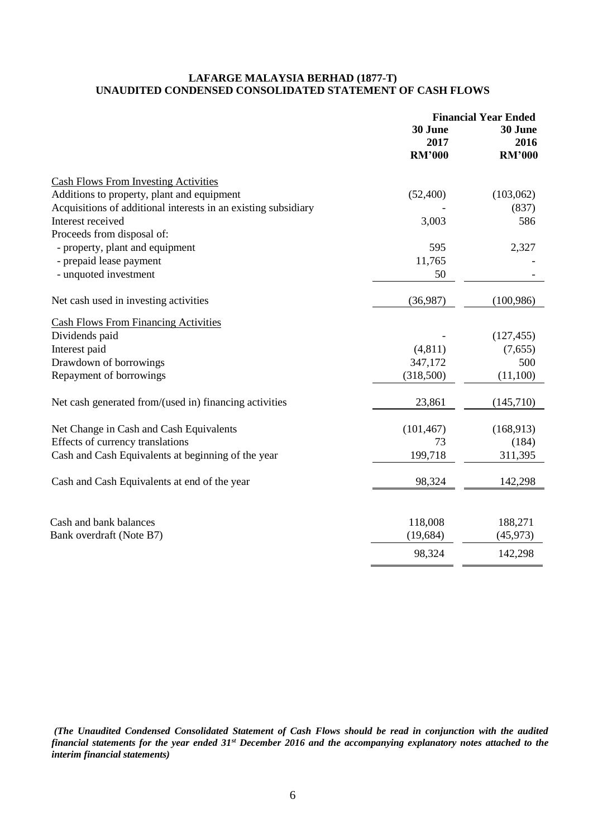#### **LAFARGE MALAYSIA BERHAD (1877-T) UNAUDITED CONDENSED CONSOLIDATED STATEMENT OF CASH FLOWS**

|                                                                | <b>Financial Year Ended</b> |               |  |
|----------------------------------------------------------------|-----------------------------|---------------|--|
|                                                                | 30 June                     | 30 June       |  |
|                                                                | 2017                        | 2016          |  |
|                                                                | <b>RM'000</b>               | <b>RM'000</b> |  |
| <b>Cash Flows From Investing Activities</b>                    |                             |               |  |
| Additions to property, plant and equipment                     | (52,400)                    | (103,062)     |  |
| Acquisitions of additional interests in an existing subsidiary |                             | (837)         |  |
| Interest received                                              | 3,003                       | 586           |  |
| Proceeds from disposal of:                                     |                             |               |  |
| - property, plant and equipment                                | 595                         | 2,327         |  |
| - prepaid lease payment                                        | 11,765                      |               |  |
| - unquoted investment                                          | 50                          |               |  |
| Net cash used in investing activities                          | (36,987)                    | (100, 986)    |  |
| <b>Cash Flows From Financing Activities</b>                    |                             |               |  |
| Dividends paid                                                 |                             | (127, 455)    |  |
| Interest paid                                                  | (4, 811)                    | (7,655)       |  |
| Drawdown of borrowings                                         | 347,172                     | 500           |  |
| Repayment of borrowings                                        | (318,500)                   | (11,100)      |  |
| Net cash generated from/(used in) financing activities         | 23,861                      | (145,710)     |  |
| Net Change in Cash and Cash Equivalents                        | (101, 467)                  | (168,913)     |  |
| Effects of currency translations                               | 73                          | (184)         |  |
| Cash and Cash Equivalents at beginning of the year             | 199,718                     | 311,395       |  |
| Cash and Cash Equivalents at end of the year                   | 98,324                      | 142,298       |  |
|                                                                |                             |               |  |
| Cash and bank balances                                         | 118,008                     | 188,271       |  |
| Bank overdraft (Note B7)                                       | (19, 684)                   | (45, 973)     |  |
|                                                                | 98,324                      | 142,298       |  |
|                                                                |                             |               |  |

*(The Unaudited Condensed Consolidated Statement of Cash Flows should be read in conjunction with the audited financial statements for the year ended 31st December 2016 and the accompanying explanatory notes attached to the interim financial statements)*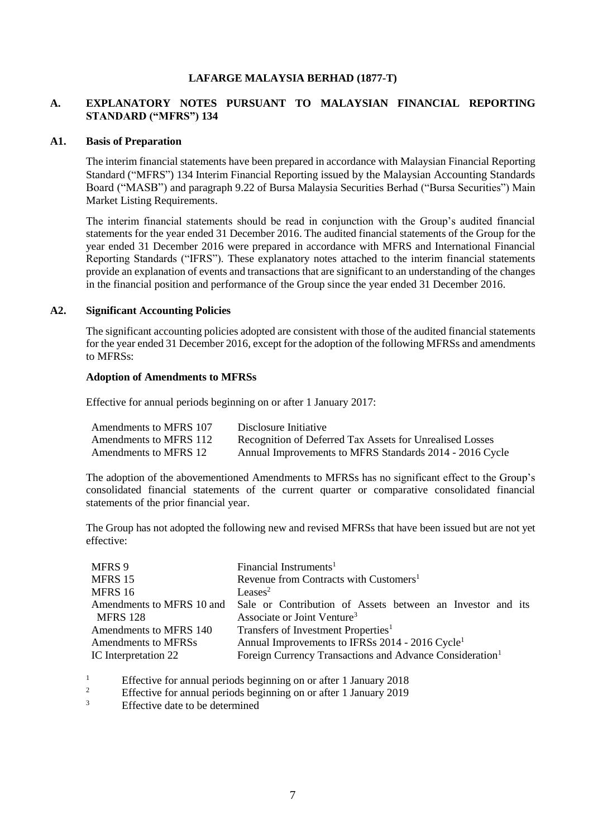#### **LAFARGE MALAYSIA BERHAD (1877-T)**

## **A. EXPLANATORY NOTES PURSUANT TO MALAYSIAN FINANCIAL REPORTING STANDARD ("MFRS") 134**

#### **A1. Basis of Preparation**

The interim financial statements have been prepared in accordance with Malaysian Financial Reporting Standard ("MFRS") 134 Interim Financial Reporting issued by the Malaysian Accounting Standards Board ("MASB") and paragraph 9.22 of Bursa Malaysia Securities Berhad ("Bursa Securities") Main Market Listing Requirements.

The interim financial statements should be read in conjunction with the Group's audited financial statements for the year ended 31 December 2016. The audited financial statements of the Group for the year ended 31 December 2016 were prepared in accordance with MFRS and International Financial Reporting Standards ("IFRS"). These explanatory notes attached to the interim financial statements provide an explanation of events and transactions that are significant to an understanding of the changes in the financial position and performance of the Group since the year ended 31 December 2016.

#### **A2. Significant Accounting Policies**

The significant accounting policies adopted are consistent with those of the audited financial statements for the year ended 31 December 2016, except for the adoption of the following MFRSs and amendments to MFRSs:

#### **Adoption of Amendments to MFRSs**

Effective for annual periods beginning on or after 1 January 2017:

| Amendments to MFRS 107 | Disclosure Initiative                                    |
|------------------------|----------------------------------------------------------|
| Amendments to MFRS 112 | Recognition of Deferred Tax Assets for Unrealised Losses |
| Amendments to MFRS 12  | Annual Improvements to MFRS Standards 2014 - 2016 Cycle  |

The adoption of the abovementioned Amendments to MFRSs has no significant effect to the Group's consolidated financial statements of the current quarter or comparative consolidated financial statements of the prior financial year.

The Group has not adopted the following new and revised MFRSs that have been issued but are not yet effective:

| MFRS 9                    | Financial Instruments <sup>1</sup>                                   |  |  |  |
|---------------------------|----------------------------------------------------------------------|--|--|--|
| MFRS 15                   | Revenue from Contracts with Customers <sup>1</sup>                   |  |  |  |
| MFRS 16                   | Leases <sup>2</sup>                                                  |  |  |  |
| Amendments to MFRS 10 and | Sale or Contribution of Assets between an Investor and its           |  |  |  |
| <b>MFRS 128</b>           | Associate or Joint Venture <sup>3</sup>                              |  |  |  |
| Amendments to MFRS 140    | Transfers of Investment Properties <sup>1</sup>                      |  |  |  |
| Amendments to MFRSs       | Annual Improvements to IFRSs 2014 - 2016 Cycle <sup>1</sup>          |  |  |  |
| IC Interpretation 22      | Foreign Currency Transactions and Advance Consideration <sup>1</sup> |  |  |  |

<sup>1</sup><br>Effective for annual periods beginning on or after 1 January 2018<br>Effective for annual periods beginning on or after 1 January 2010

- <sup>2</sup> Effective for annual periods beginning on or after 1 January 2019
- Effective date to be determined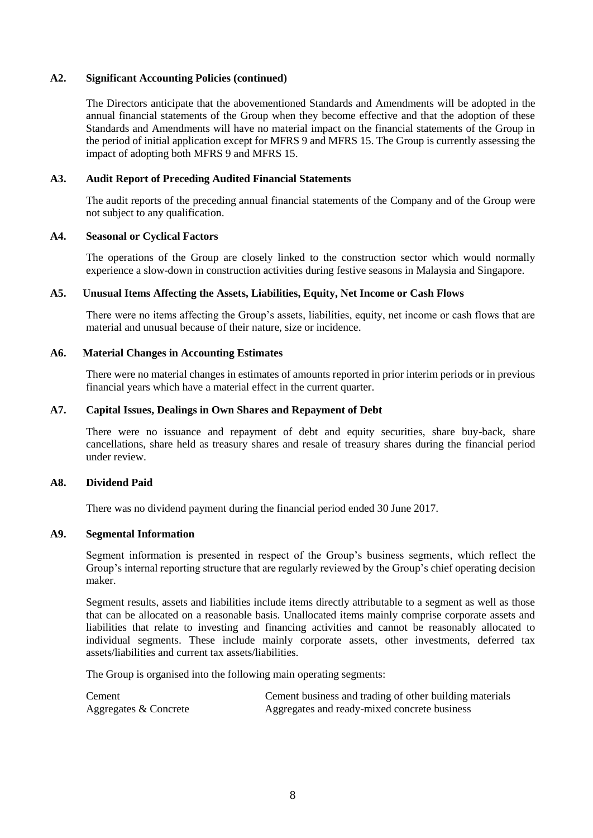#### **A2. Significant Accounting Policies (continued)**

The Directors anticipate that the abovementioned Standards and Amendments will be adopted in the annual financial statements of the Group when they become effective and that the adoption of these Standards and Amendments will have no material impact on the financial statements of the Group in the period of initial application except for MFRS 9 and MFRS 15. The Group is currently assessing the impact of adopting both MFRS 9 and MFRS 15.

#### **A3. Audit Report of Preceding Audited Financial Statements**

The audit reports of the preceding annual financial statements of the Company and of the Group were not subject to any qualification.

#### **A4. Seasonal or Cyclical Factors**

The operations of the Group are closely linked to the construction sector which would normally experience a slow-down in construction activities during festive seasons in Malaysia and Singapore.

#### **A5. Unusual Items Affecting the Assets, Liabilities, Equity, Net Income or Cash Flows**

There were no items affecting the Group's assets, liabilities, equity, net income or cash flows that are material and unusual because of their nature, size or incidence.

#### **A6. Material Changes in Accounting Estimates**

There were no material changes in estimates of amounts reported in prior interim periods or in previous financial years which have a material effect in the current quarter.

#### **A7. Capital Issues, Dealings in Own Shares and Repayment of Debt**

There were no issuance and repayment of debt and equity securities, share buy-back, share cancellations, share held as treasury shares and resale of treasury shares during the financial period under review.

#### **A8. Dividend Paid**

There was no dividend payment during the financial period ended 30 June 2017.

#### **A9. Segmental Information**

Segment information is presented in respect of the Group's business segments, which reflect the Group's internal reporting structure that are regularly reviewed by the Group's chief operating decision maker.

Segment results, assets and liabilities include items directly attributable to a segment as well as those that can be allocated on a reasonable basis. Unallocated items mainly comprise corporate assets and liabilities that relate to investing and financing activities and cannot be reasonably allocated to individual segments. These include mainly corporate assets, other investments, deferred tax assets/liabilities and current tax assets/liabilities.

The Group is organised into the following main operating segments:

Cement Cement business and trading of other building materials Aggregates & Concrete Aggregates and ready-mixed concrete business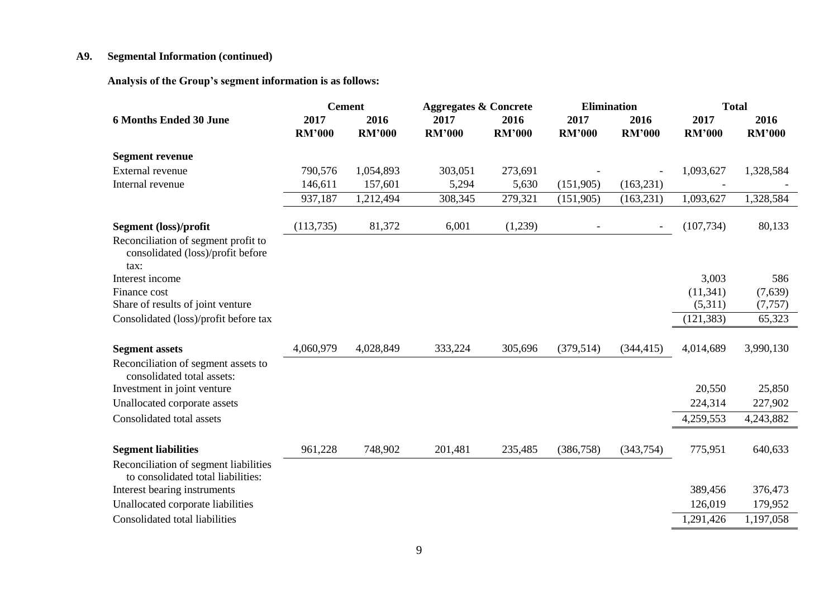# **A9. Segmental Information (continued)**

**Analysis of the Group's segment information is as follows:** 

|                                                                                  |                       | <b>Cement</b>         | <b>Aggregates &amp; Concrete</b> |                       | <b>Elimination</b>    |                       | <b>Total</b>          |                       |
|----------------------------------------------------------------------------------|-----------------------|-----------------------|----------------------------------|-----------------------|-----------------------|-----------------------|-----------------------|-----------------------|
| <b>6 Months Ended 30 June</b>                                                    | 2017<br><b>RM'000</b> | 2016<br><b>RM'000</b> | 2017<br><b>RM'000</b>            | 2016<br><b>RM'000</b> | 2017<br><b>RM'000</b> | 2016<br><b>RM'000</b> | 2017<br><b>RM'000</b> | 2016<br><b>RM'000</b> |
| <b>Segment revenue</b>                                                           |                       |                       |                                  |                       |                       |                       |                       |                       |
| External revenue                                                                 | 790,576               | 1,054,893             | 303,051                          | 273,691               |                       |                       | 1,093,627             | 1,328,584             |
| Internal revenue                                                                 | 146,611               | 157,601               | 5,294                            | 5,630                 | (151,905)             | (163, 231)            |                       |                       |
|                                                                                  | 937,187               | 1,212,494             | 308,345                          | 279,321               | (151,905)             | (163, 231)            | 1,093,627             | 1,328,584             |
| Segment (loss)/profit                                                            | (113, 735)            | 81,372                | 6,001                            | (1,239)               |                       |                       | (107, 734)            | 80,133                |
| Reconciliation of segment profit to<br>consolidated (loss)/profit before<br>tax: |                       |                       |                                  |                       |                       |                       |                       |                       |
| Interest income                                                                  |                       |                       |                                  |                       |                       |                       | 3,003                 | 586                   |
| Finance cost                                                                     |                       |                       |                                  |                       |                       |                       | (11, 341)             | (7,639)               |
| Share of results of joint venture                                                |                       |                       |                                  |                       |                       |                       | (5,311)               | (7, 757)              |
| Consolidated (loss)/profit before tax                                            |                       |                       |                                  |                       |                       |                       | (121, 383)            | 65,323                |
| <b>Segment assets</b>                                                            | 4,060,979             | 4,028,849             | 333,224                          | 305,696               | (379, 514)            | (344, 415)            | 4,014,689             | 3,990,130             |
| Reconciliation of segment assets to<br>consolidated total assets:                |                       |                       |                                  |                       |                       |                       |                       |                       |
| Investment in joint venture                                                      |                       |                       |                                  |                       |                       |                       | 20,550                | 25,850                |
| Unallocated corporate assets                                                     |                       |                       |                                  |                       |                       |                       | 224,314               | 227,902               |
| Consolidated total assets                                                        |                       |                       |                                  |                       |                       |                       | 4,259,553             | 4,243,882             |
| <b>Segment liabilities</b>                                                       | 961,228               | 748,902               | 201,481                          | 235,485               | (386, 758)            | (343,754)             | 775,951               | 640,633               |
| Reconciliation of segment liabilities<br>to consolidated total liabilities:      |                       |                       |                                  |                       |                       |                       |                       |                       |
| Interest bearing instruments                                                     |                       |                       |                                  |                       |                       |                       | 389,456               | 376,473               |
| Unallocated corporate liabilities                                                |                       |                       |                                  |                       |                       |                       | 126,019               | 179,952               |
| Consolidated total liabilities                                                   |                       |                       |                                  |                       |                       |                       | 1,291,426             | 1,197,058             |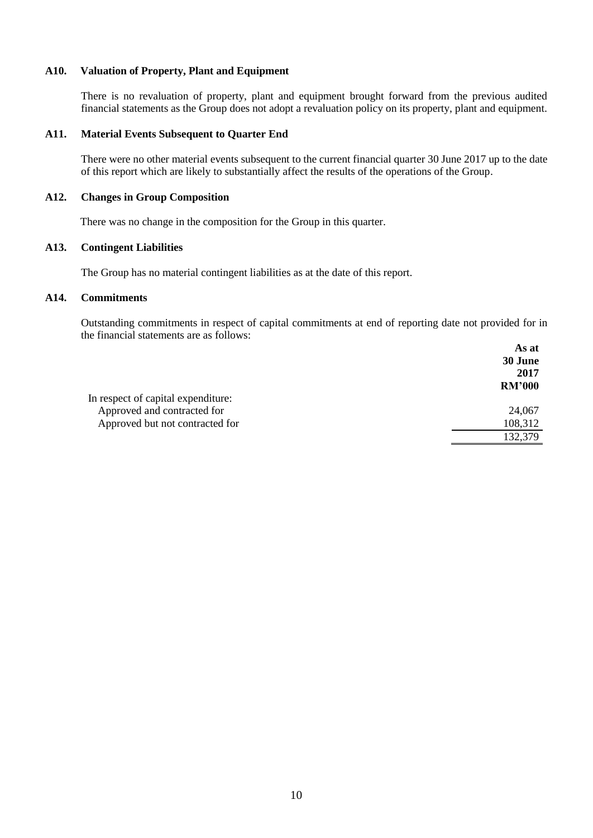## **A10. Valuation of Property, Plant and Equipment**

There is no revaluation of property, plant and equipment brought forward from the previous audited financial statements as the Group does not adopt a revaluation policy on its property, plant and equipment.

#### **A11. Material Events Subsequent to Quarter End**

There were no other material events subsequent to the current financial quarter 30 June 2017 up to the date of this report which are likely to substantially affect the results of the operations of the Group.

## **A12. Changes in Group Composition**

There was no change in the composition for the Group in this quarter.

## **A13. Contingent Liabilities**

The Group has no material contingent liabilities as at the date of this report.

## **A14. Commitments**

Outstanding commitments in respect of capital commitments at end of reporting date not provided for in the financial statements are as follows:  **As at** 

|                                    | As at         |
|------------------------------------|---------------|
|                                    | 30 June       |
|                                    | 2017          |
|                                    | <b>RM'000</b> |
| In respect of capital expenditure: |               |
| Approved and contracted for        | 24,067        |
| Approved but not contracted for    | 108,312       |
|                                    | 132,379       |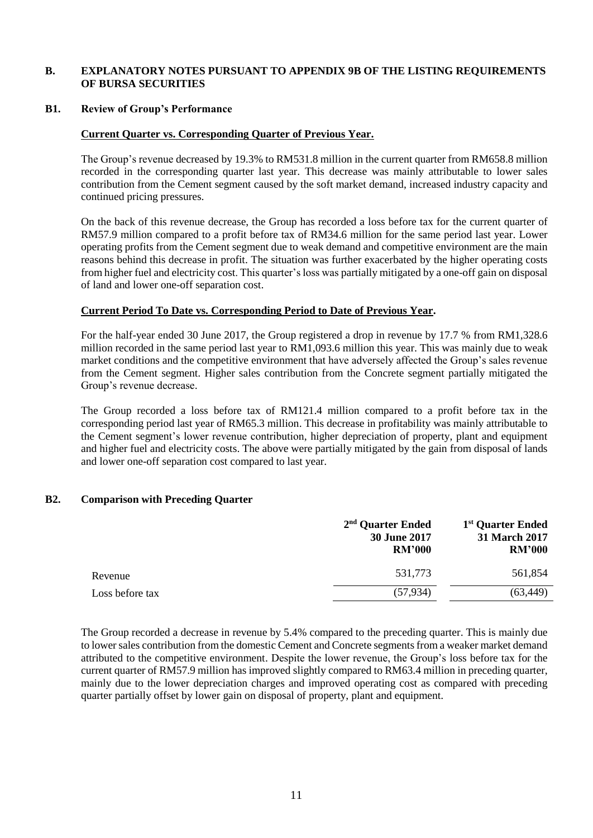## **B. EXPLANATORY NOTES PURSUANT TO APPENDIX 9B OF THE LISTING REQUIREMENTS OF BURSA SECURITIES**

#### **B1. Review of Group's Performance**

#### **Current Quarter vs. Corresponding Quarter of Previous Year.**

The Group's revenue decreased by 19.3% to RM531.8 million in the current quarter from RM658.8 million recorded in the corresponding quarter last year. This decrease was mainly attributable to lower sales contribution from the Cement segment caused by the soft market demand, increased industry capacity and continued pricing pressures.

On the back of this revenue decrease, the Group has recorded a loss before tax for the current quarter of RM57.9 million compared to a profit before tax of RM34.6 million for the same period last year. Lower operating profits from the Cement segment due to weak demand and competitive environment are the main reasons behind this decrease in profit. The situation was further exacerbated by the higher operating costs from higher fuel and electricity cost. This quarter's loss was partially mitigated by a one-off gain on disposal of land and lower one-off separation cost.

#### **Current Period To Date vs. Corresponding Period to Date of Previous Year.**

For the half-year ended 30 June 2017, the Group registered a drop in revenue by 17.7 % from RM1,328.6 million recorded in the same period last year to RM1,093.6 million this year. This was mainly due to weak market conditions and the competitive environment that have adversely affected the Group's sales revenue from the Cement segment. Higher sales contribution from the Concrete segment partially mitigated the Group's revenue decrease.

The Group recorded a loss before tax of RM121.4 million compared to a profit before tax in the corresponding period last year of RM65.3 million. This decrease in profitability was mainly attributable to the Cement segment's lower revenue contribution, higher depreciation of property, plant and equipment and higher fuel and electricity costs. The above were partially mitigated by the gain from disposal of lands and lower one-off separation cost compared to last year.

#### **B2. Comparison with Preceding Quarter**

|                 | $2nd$ Quarter Ended<br><b>30 June 2017</b><br><b>RM'000</b> | 1 <sup>st</sup> Quarter Ended<br>31 March 2017<br><b>RM'000</b> |
|-----------------|-------------------------------------------------------------|-----------------------------------------------------------------|
| Revenue         | 531,773                                                     | 561,854                                                         |
| Loss before tax | (57, 934)                                                   | (63, 449)                                                       |

The Group recorded a decrease in revenue by 5.4% compared to the preceding quarter. This is mainly due to lower sales contribution from the domestic Cement and Concrete segments from a weaker market demand attributed to the competitive environment. Despite the lower revenue, the Group's loss before tax for the current quarter of RM57.9 million has improved slightly compared to RM63.4 million in preceding quarter, mainly due to the lower depreciation charges and improved operating cost as compared with preceding quarter partially offset by lower gain on disposal of property, plant and equipment.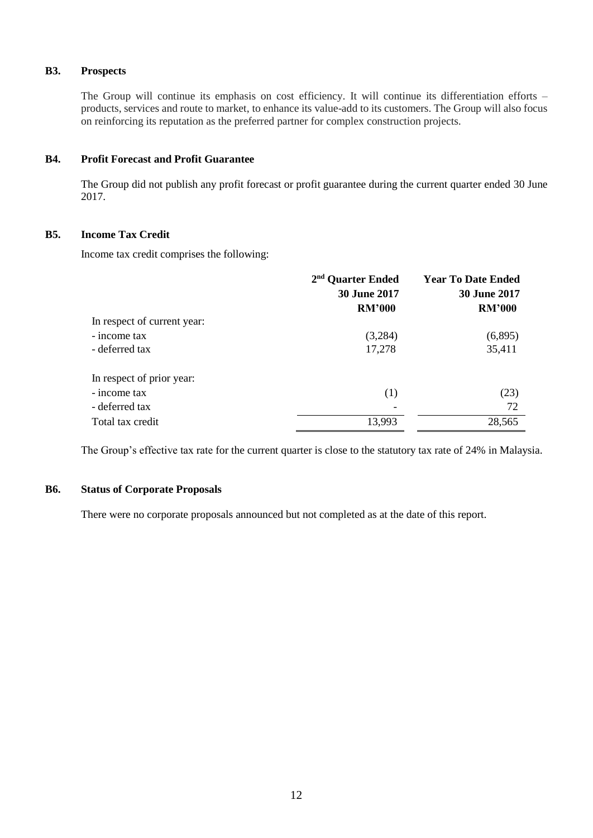## **B3. Prospects**

The Group will continue its emphasis on cost efficiency. It will continue its differentiation efforts – products, services and route to market, to enhance its value-add to its customers. The Group will also focus on reinforcing its reputation as the preferred partner for complex construction projects.

## **B4. Profit Forecast and Profit Guarantee**

The Group did not publish any profit forecast or profit guarantee during the current quarter ended 30 June 2017.

## **B5. Income Tax Credit**

Income tax credit comprises the following:

|                             | 2 <sup>nd</sup> Quarter Ended | <b>Year To Date Ended</b> |
|-----------------------------|-------------------------------|---------------------------|
|                             | 30 June 2017                  | 30 June 2017              |
|                             | <b>RM'000</b>                 | <b>RM'000</b>             |
| In respect of current year: |                               |                           |
| - income tax                | (3,284)                       | (6,895)                   |
| - deferred tax              | 17,278                        | 35,411                    |
| In respect of prior year:   |                               |                           |
| - income tax                | (1)                           | (23)                      |
| - deferred tax              |                               | 72                        |
| Total tax credit            | 13,993                        | 28,565                    |

The Group's effective tax rate for the current quarter is close to the statutory tax rate of 24% in Malaysia.

## **B6. Status of Corporate Proposals**

There were no corporate proposals announced but not completed as at the date of this report.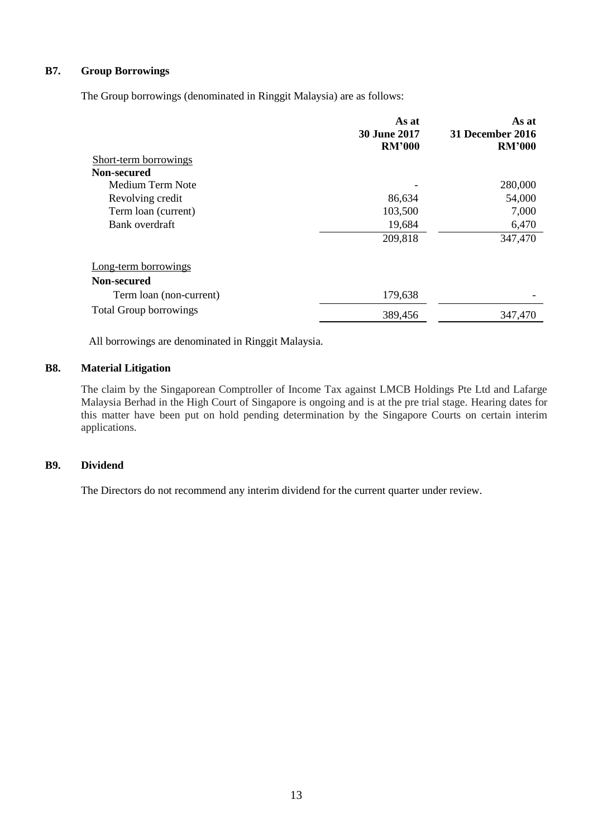# **B7. Group Borrowings**

The Group borrowings (denominated in Ringgit Malaysia) are as follows:

|                               | As at<br><b>30 June 2017</b><br><b>RM'000</b> | As at<br>31 December 2016<br><b>RM'000</b> |
|-------------------------------|-----------------------------------------------|--------------------------------------------|
| Short-term borrowings         |                                               |                                            |
| Non-secured                   |                                               |                                            |
| Medium Term Note              |                                               | 280,000                                    |
| Revolving credit              | 86,634                                        | 54,000                                     |
| Term loan (current)           | 103,500                                       | 7,000                                      |
| Bank overdraft                | 19,684                                        | 6,470                                      |
|                               | 209,818                                       | 347,470                                    |
| Long-term borrowings          |                                               |                                            |
| Non-secured                   |                                               |                                            |
| Term loan (non-current)       | 179,638                                       |                                            |
| <b>Total Group borrowings</b> | 389,456                                       | 347,470                                    |

All borrowings are denominated in Ringgit Malaysia.

## **B8. Material Litigation**

The claim by the Singaporean Comptroller of Income Tax against LMCB Holdings Pte Ltd and Lafarge Malaysia Berhad in the High Court of Singapore is ongoing and is at the pre trial stage. Hearing dates for this matter have been put on hold pending determination by the Singapore Courts on certain interim applications.

# **B9. Dividend**

The Directors do not recommend any interim dividend for the current quarter under review.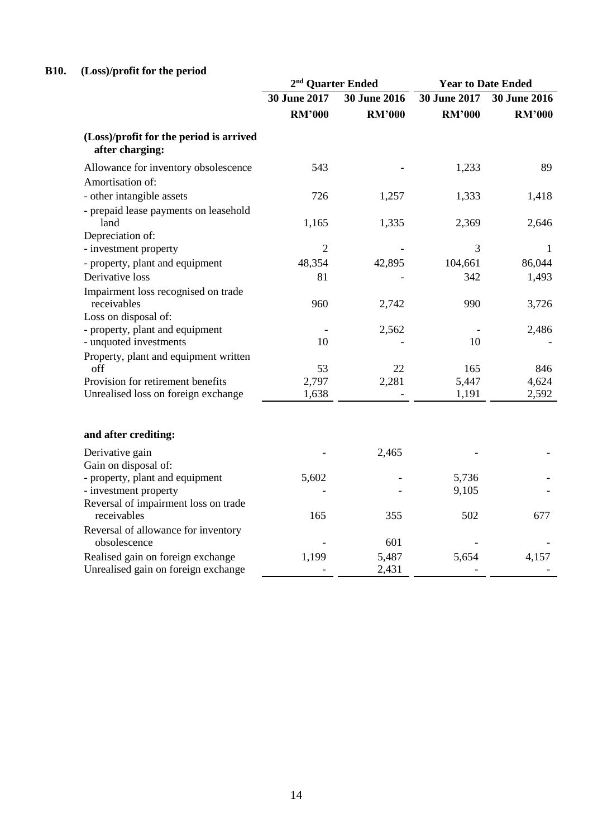# **B10. (Loss)/profit for the period**

|                                                                    | 2 <sup>nd</sup> Quarter Ended |                     | <b>Year to Date Ended</b> |                     |
|--------------------------------------------------------------------|-------------------------------|---------------------|---------------------------|---------------------|
|                                                                    | 30 June 2017                  | <b>30 June 2016</b> | 30 June 2017              | <b>30 June 2016</b> |
|                                                                    | <b>RM'000</b>                 | <b>RM'000</b>       | <b>RM'000</b>             | <b>RM'000</b>       |
| (Loss)/profit for the period is arrived<br>after charging:         |                               |                     |                           |                     |
| Allowance for inventory obsolescence<br>Amortisation of:           | 543                           |                     | 1,233                     | 89                  |
| - other intangible assets<br>- prepaid lease payments on leasehold | 726                           | 1,257               | 1,333                     | 1,418               |
| land<br>Depreciation of:                                           | 1,165                         | 1,335               | 2,369                     | 2,646               |
| - investment property                                              | $\overline{2}$                |                     | 3                         | 1                   |
| - property, plant and equipment                                    | 48,354                        | 42,895              | 104,661                   | 86,044              |
| Derivative loss                                                    | 81                            |                     | 342                       | 1,493               |
| Impairment loss recognised on trade<br>receivables                 | 960                           | 2,742               | 990                       | 3,726               |
| Loss on disposal of:                                               |                               |                     |                           |                     |
| - property, plant and equipment<br>- unquoted investments          | 10                            | 2,562               | 10                        | 2,486               |
| Property, plant and equipment written<br>off                       | 53                            | 22                  | 165                       | 846                 |
| Provision for retirement benefits                                  | 2,797                         | 2,281               | 5,447                     | 4,624               |
| Unrealised loss on foreign exchange                                | 1,638                         |                     | 1,191                     | 2,592               |
| and after crediting:                                               |                               |                     |                           |                     |
| Derivative gain<br>Gain on disposal of:                            |                               | 2,465               |                           |                     |
| - property, plant and equipment                                    | 5,602                         |                     | 5,736                     |                     |
| - investment property                                              |                               |                     | 9,105                     |                     |
| Reversal of impairment loss on trade<br>receivables                | 165                           | 355                 | 502                       | 677                 |
| Reversal of allowance for inventory<br>obsolescence                |                               | 601                 |                           |                     |
| Realised gain on foreign exchange                                  | 1,199                         | 5,487               | 5,654                     | 4,157               |
| Unrealised gain on foreign exchange                                |                               | 2,431               |                           |                     |